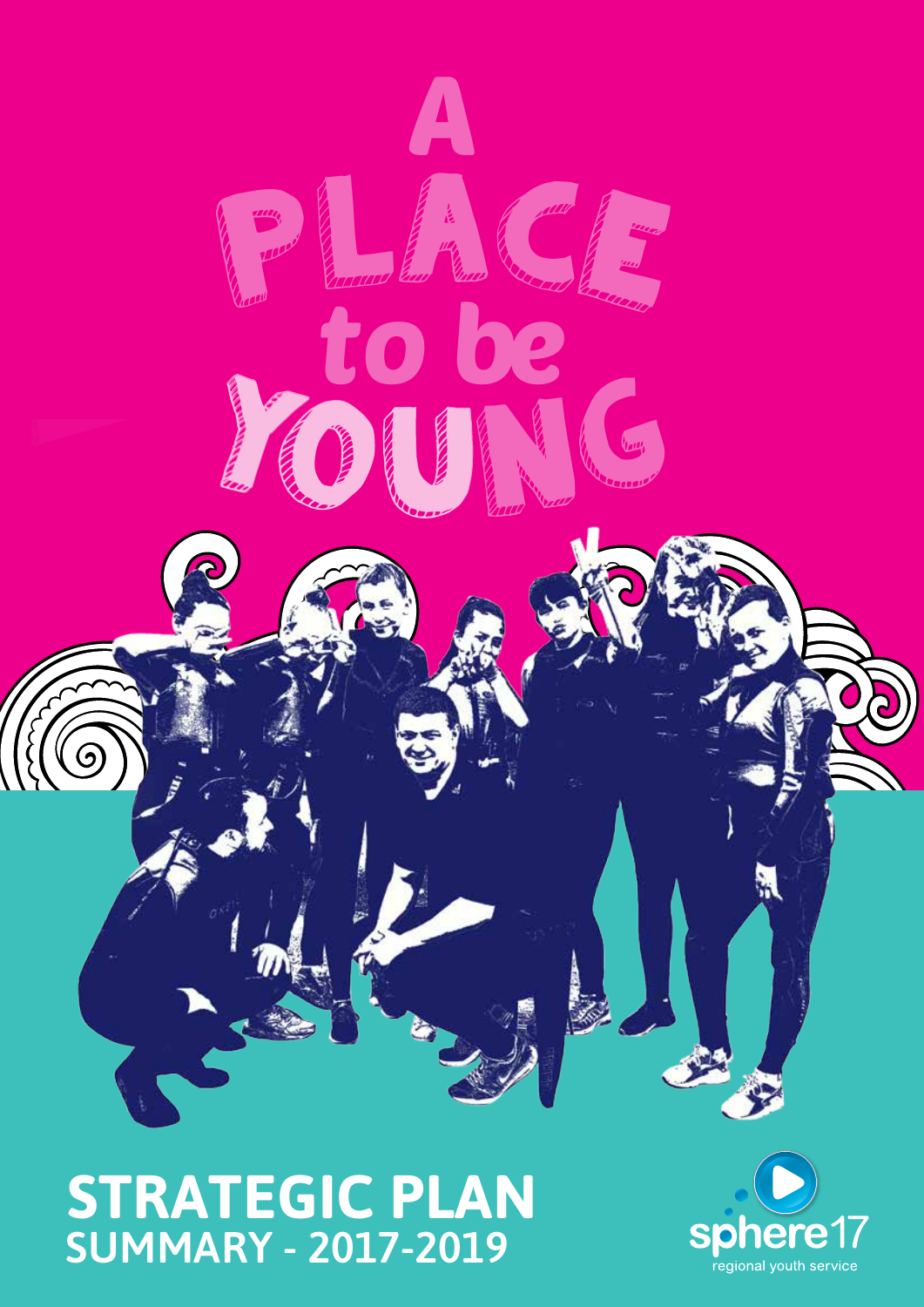

**STRATEGIC PLAN** SUMMARY - 2017-2019

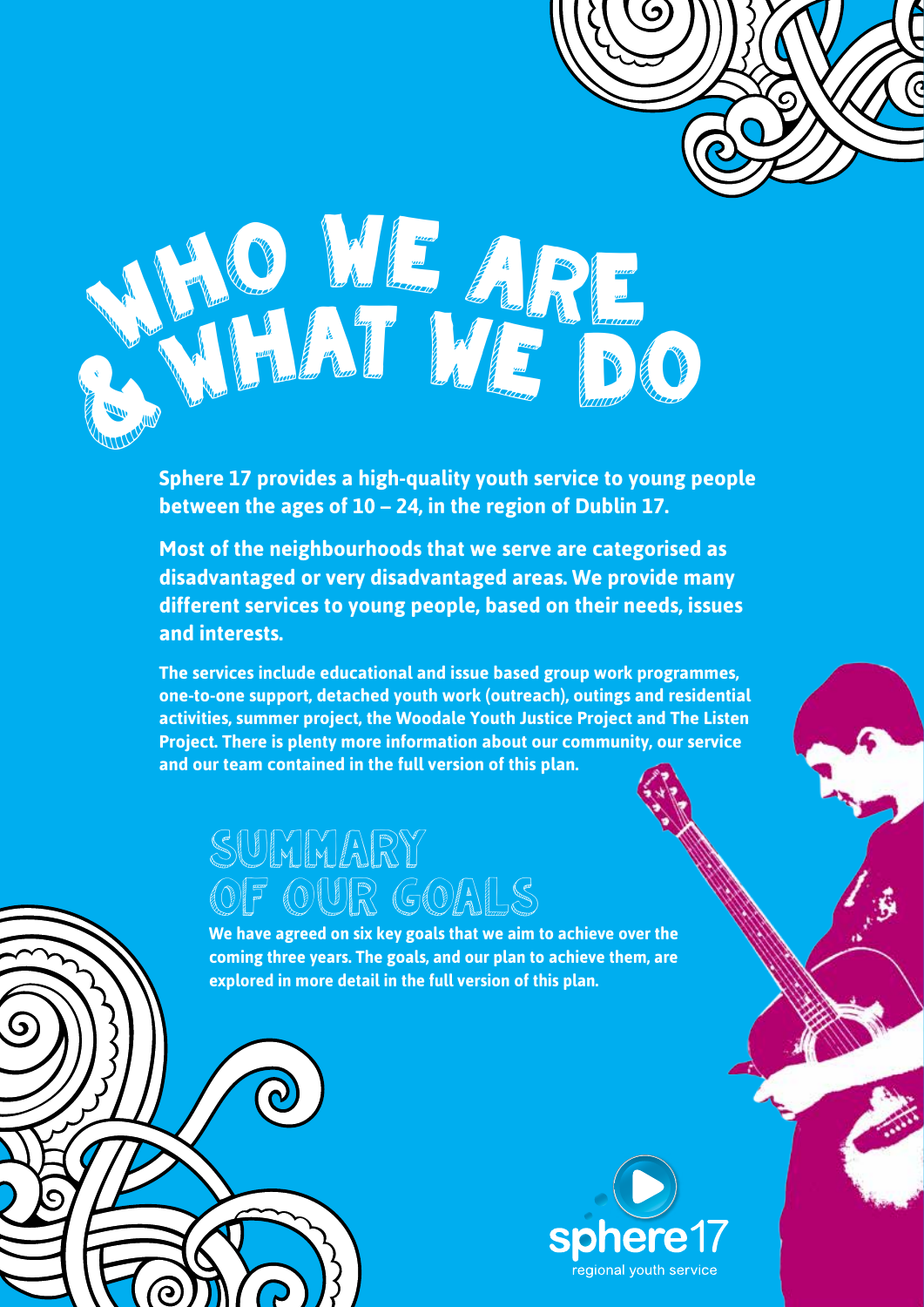

**Sphere 17 provides a high-quality youth service to young people between the ages of 10 – 24, in the region of Dublin 17.** 

**Most of the neighbourhoods that we serve are categorised as disadvantaged or very disadvantaged areas. We provide many different services to young people, based on their needs, issues and interests.**

**The services include educational and issue based group work programmes, one-to-one support, detached youth work (outreach), outings and residential activities, summer project, the Woodale Youth Justice Project and The Listen Project. There is plenty more information about our community, our service and our team contained in the full version of this plan.**

 $\epsilon$ 

# SUMMARY OF OUR GOALS

ဴဂ

**We have agreed on six key goals that we aim to achieve over the coming three years. The goals, and our plan to achieve them, are explored in more detail in the full version of this plan.**

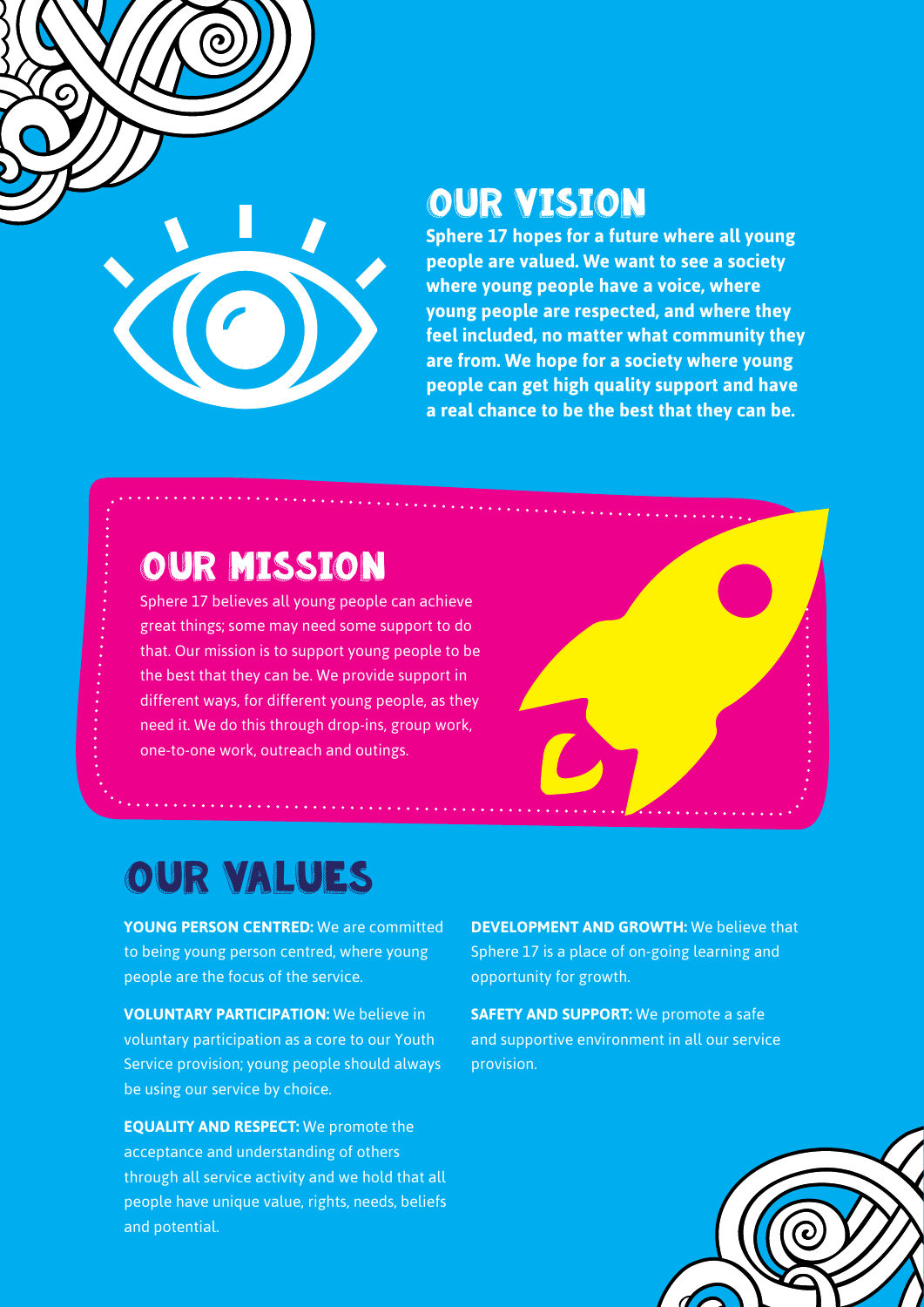

### **OUR VISION**

**Sphere 17 hopes for a future where all young people are valued. We want to see a society where young people have a voice, where young people are respected, and where they feel included, no matter what community they are from. We hope for a society where young people can get high quality support and have a real chance to be the best that they can be.**

## Our Mission

Sphere 17 believes all young people can achieve great things; some may need some support to do that. Our mission is to support young people to be the best that they can be. We provide support in different ways, for different young people, as they need it. We do this through drop-ins, group work, one-to-one work, outreach and outings.



# Our Values

**YOUNG PERSON CENTRED:** We are committed to being young person centred, where young people are the focus of the service.

**VOLUNTARY PARTICIPATION:** We believe in voluntary participation as a core to our Youth Service provision; young people should always be using our service by choice.

**EQUALITY AND RESPECT:** We promote the acceptance and understanding of others through all service activity and we hold that all people have unique value, rights, needs, beliefs and potential.

**DEVELOPMENT AND GROWTH:** We believe that Sphere 17 is a place of on-going learning and opportunity for growth.

**SAFETY AND SUPPORT:** We promote a safe and supportive environment in all our service provision.

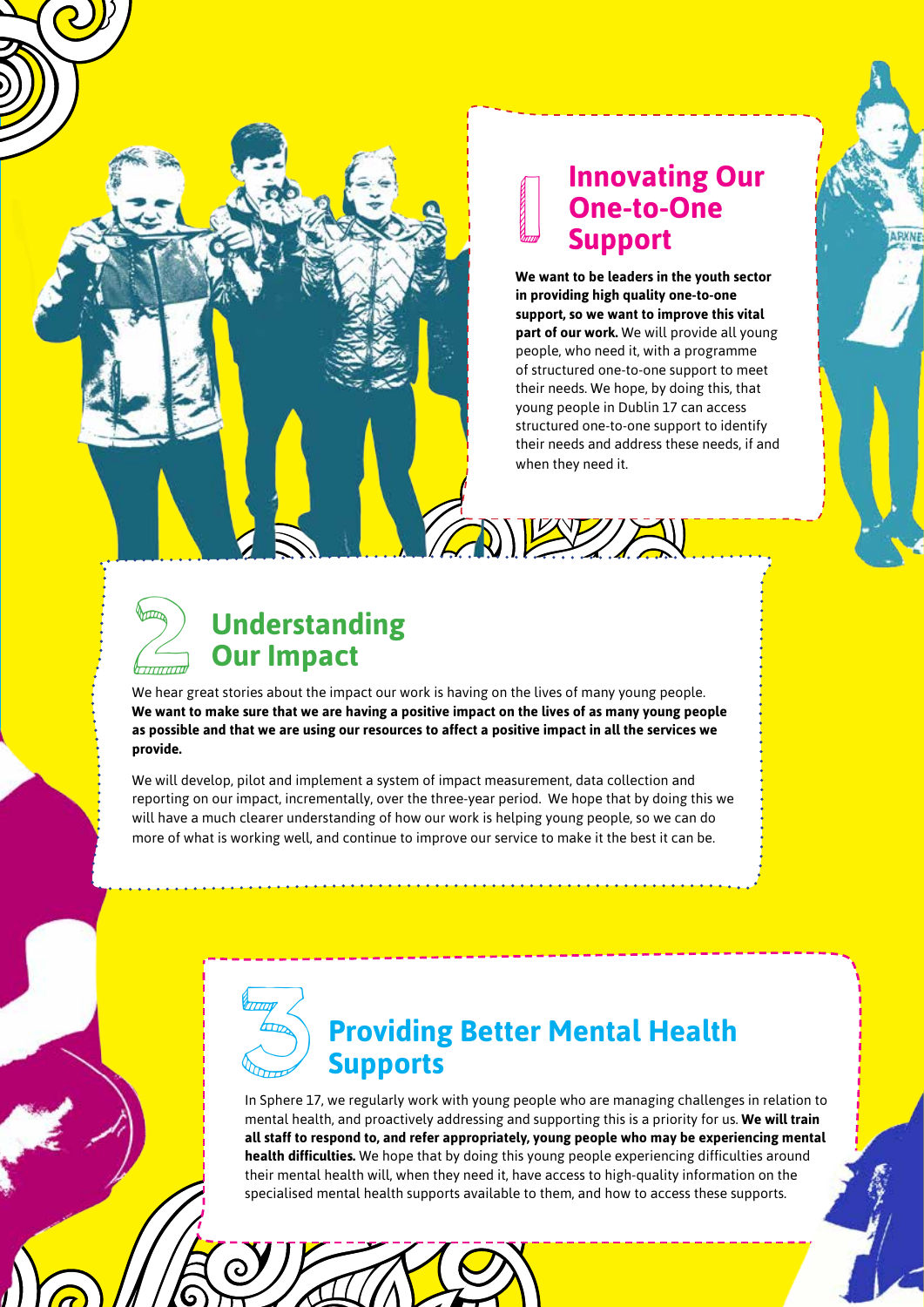#### **Innovating Our One-to-One Support**

1

**We want to be leaders in the youth sector in providing high quality one-to-one support, so we want to improve this vital part of our work.** We will provide all young people, who need it, with a programme of structured one-to-one support to meet their needs. We hope, by doing this, that young people in Dublin 17 can access structured one-to-one support to identify their needs and address these needs, if and when they need it.



#### **Understanding Our Impact**

We hear great stories about the impact our work is having on the lives of many young people. **We want to make sure that we are having a positive impact on the lives of as many young people as possible and that we are using our resources to affect a positive impact in all the services we provide.**

We will develop, pilot and implement a system of impact measurement, data collection and reporting on our impact, incrementally, over the three-year period. We hope that by doing this we will have a much clearer understanding of how our work is helping young people, so we can do more of what is working well, and continue to improve our service to make it the best it can be.



#### **Providing Better Mental Health Supports**

In Sphere 17, we regularly work with young people who are managing challenges in relation to mental health, and proactively addressing and supporting this is a priority for us. **We will train all staff to respond to, and refer appropriately, young people who may be experiencing mental health difficulties.** We hope that by doing this young people experiencing difficulties around their mental health will, when they need it, have access to high-quality information on the specialised mental health supports available to them, and how to access these supports.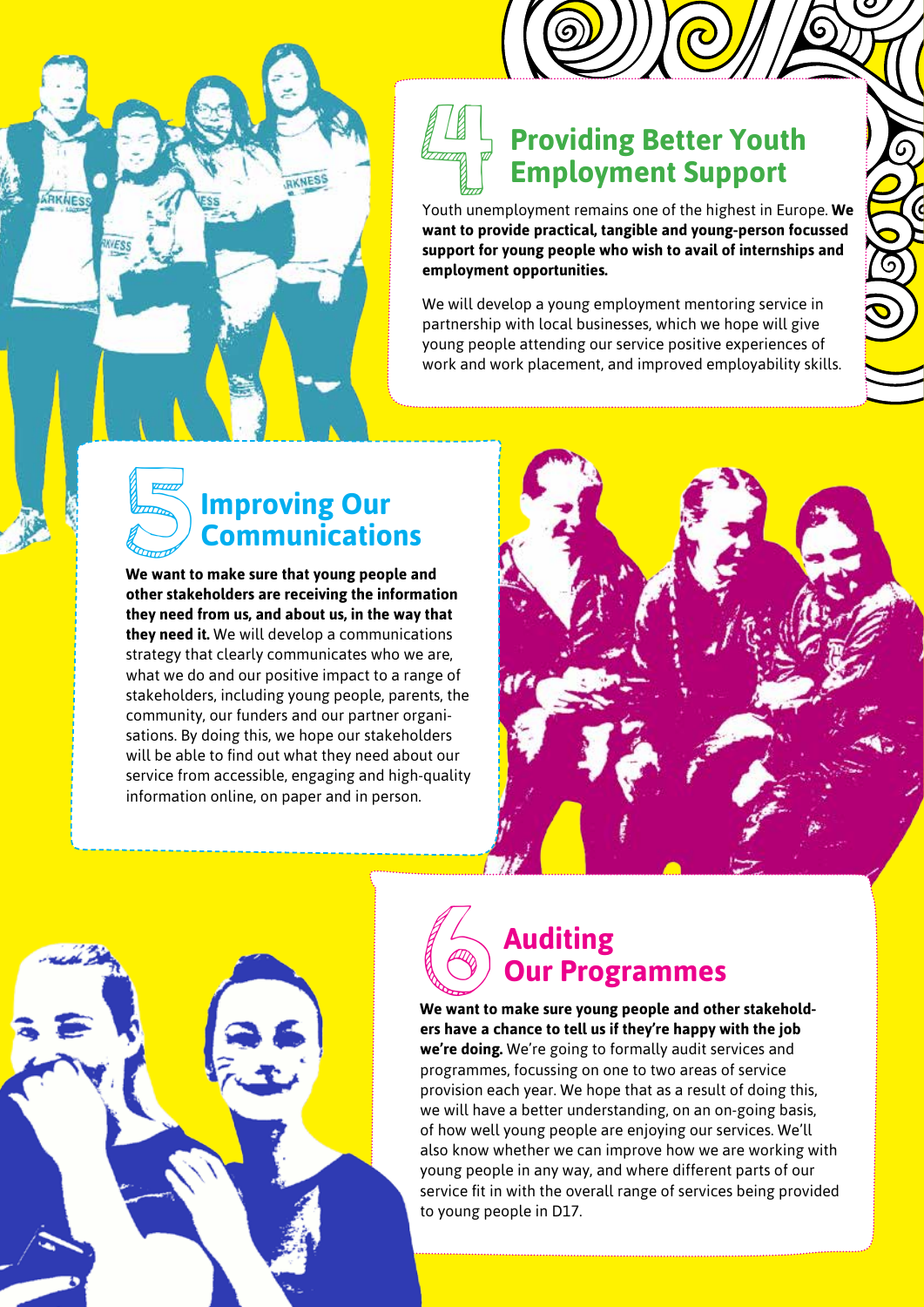### **Providing Better Youth Employment Support Providing Better Youth<br>
Employment Support**<br>
Youth unemployment remains one of the highest in Europe. We

**want to provide practical, tangible and young-person focussed support for young people who wish to avail of internships and employment opportunities.** 

 $\mathfrak{c}$ 

We will develop a young employment mentoring service in partnership with local businesses, which we hope will give young people attending our service positive experiences of work and work placement, and improved employability skills.



RKNES

ARKNESS

**other stakeholders are receiving the information they need from us, and about us, in the way that they need it.** We will develop a communications strategy that clearly communicates who we are, what we do and our positive impact to a range of stakeholders, including young people, parents, the community, our funders and our partner organisations. By doing this, we hope our stakeholders will be able to find out what they need about our service from accessible, engaging and high-quality information online, on paper and in person.





# **6** Auditing<br> **COUT Prog**<br> **COUT PROGRESS WE VOURE Our Programmes**

**We want to make sure young people and other stakeholders have a chance to tell us if they're happy with the job we're doing.** We're going to formally audit services and programmes, focussing on one to two areas of service provision each year. We hope that as a result of doing this, we will have a better understanding, on an on-going basis, of how well young people are enjoying our services. We'll also know whether we can improve how we are working with young people in any way, and where different parts of our service fit in with the overall range of services being provided to young people in D17.